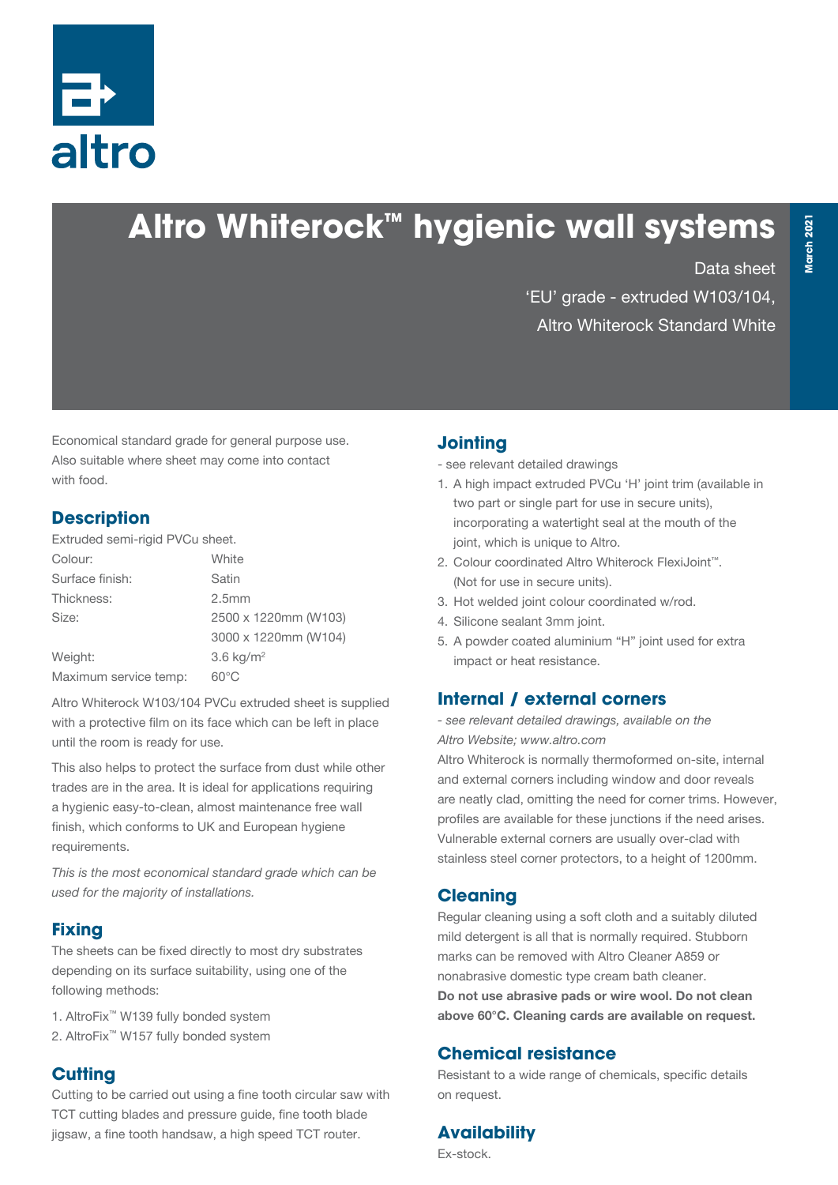

# **Altro Whiterock™ hygienic wall systems**

Data sheet

'EU' grade - extruded W103/104, Altro Whiterock Standard White

Economical standard grade for general purpose use. Also suitable where sheet may come into contact with food.

#### **Description**

Extruded semi-rigid PVCu sheet.

| Colour:               | White                |  |
|-----------------------|----------------------|--|
| Surface finish:       | Satin                |  |
| Thickness:            | 2.5 <sub>mm</sub>    |  |
| Size:                 | 2500 x 1220mm (W103) |  |
|                       | 3000 x 1220mm (W104) |  |
| Weight:               | 3.6 $kg/m2$          |  |
| Maximum service temp: | $60^{\circ}$ C       |  |

Altro Whiterock W103/104 PVCu extruded sheet is supplied with a protective film on its face which can be left in place until the room is ready for use.

This also helps to protect the surface from dust while other trades are in the area. It is ideal for applications requiring a hygienic easy-to-clean, almost maintenance free wall finish, which conforms to UK and European hygiene requirements.

*This is the most economical standard grade which can be used for the majority of installations.*

# **Fixing**

The sheets can be fixed directly to most dry substrates depending on its surface suitability, using one of the following methods:

- 1. AltroFix™ W139 fully bonded system
- 2. AltroFix™ W157 fully bonded system

# **Cutting**

Cutting to be carried out using a fine tooth circular saw with TCT cutting blades and pressure guide, fine tooth blade jigsaw, a fine tooth handsaw, a high speed TCT router.

#### **Jointing**

- see relevant detailed drawings

- 1. A high impact extruded PVCu 'H' joint trim (available in two part or single part for use in secure units), incorporating a watertight seal at the mouth of the joint, which is unique to Altro.
- 2. Colour coordinated Altro Whiterock FlexiJoint™. (Not for use in secure units).
- 3. Hot welded joint colour coordinated w/rod.
- 4. Silicone sealant 3mm joint.
- 5. A powder coated aluminium "H" joint used for extra impact or heat resistance.

#### **Internal / external corners**

*- see relevant detailed drawings, available on the Altro Website; www.altro.com*

Altro Whiterock is normally thermoformed on-site, internal and external corners including window and door reveals are neatly clad, omitting the need for corner trims. However, profiles are available for these junctions if the need arises. Vulnerable external corners are usually over-clad with stainless steel corner protectors, to a height of 1200mm.

#### **Cleaning**

Regular cleaning using a soft cloth and a suitably diluted mild detergent is all that is normally required. Stubborn marks can be removed with Altro Cleaner A859 or nonabrasive domestic type cream bath cleaner. Do not use abrasive pads or wire wool. Do not clean above 60°C. Cleaning cards are available on request.

#### **Chemical resistance**

Resistant to a wide range of chemicals, specific details on request.

# **Availability**

Ex-stock.